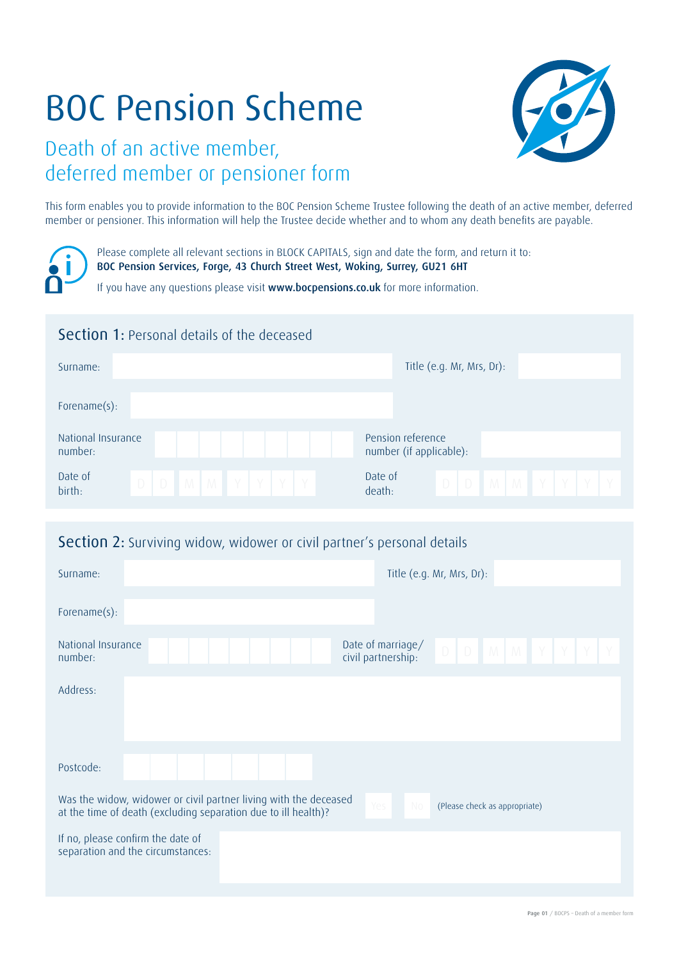# BOC Pension Scheme

# Death of an active member, deferred member or pensioner form

This form enables you to provide information to the BOC Pension Scheme Trustee following the death of an active member, deferred member or pensioner. This information will help the Trustee decide whether and to whom any death benefits are payable.

Please complete all relevant sections in BLOCK CAPITALS, sign and date the form, and return it to: BOC Pension Services, Forge, 43 Church Street West, Woking, Surrey, GU21 6HT

If you have any questions please visit www.bocpensions.co.uk for more information.

## Section 1: Personal details of the deceased

| Surname:                    | Title (e.g. Mr, Mrs, Dr):   |
|-----------------------------|-----------------------------|
| Forename $(s)$ :            |                             |
| National Insurance          | Pension reference           |
| number:                     | number (if applicable):     |
| Date of                     | Date of                     |
| $D$ $D$ $M$ $M$ $Y$ $Y$ $Y$ | $D$ $D$ $M$ $M$ $Y$ $Y$ $Y$ |
| birth:                      | death:                      |

#### Section 2: Surviving widow, widower or civil partner's personal details

| Surname:                      | Title (e.g. Mr, Mrs, Dr):                                                                                                                                                        |
|-------------------------------|----------------------------------------------------------------------------------------------------------------------------------------------------------------------------------|
| Forename(s):                  |                                                                                                                                                                                  |
| National Insurance<br>number: | Date of marriage/<br>$D$ $D$ $M$ $M$ $Y$ $Y$ $Y$<br>civil partnership:                                                                                                           |
| Address:                      |                                                                                                                                                                                  |
|                               |                                                                                                                                                                                  |
| Postcode:                     |                                                                                                                                                                                  |
|                               | Was the widow, widower or civil partner living with the deceased<br>Yes<br>No<br>(Please check as appropriate)<br>at the time of death (excluding separation due to ill health)? |
|                               | If no, please confirm the date of<br>separation and the circumstances:                                                                                                           |



Page 01 / BOCPS – Death of a member form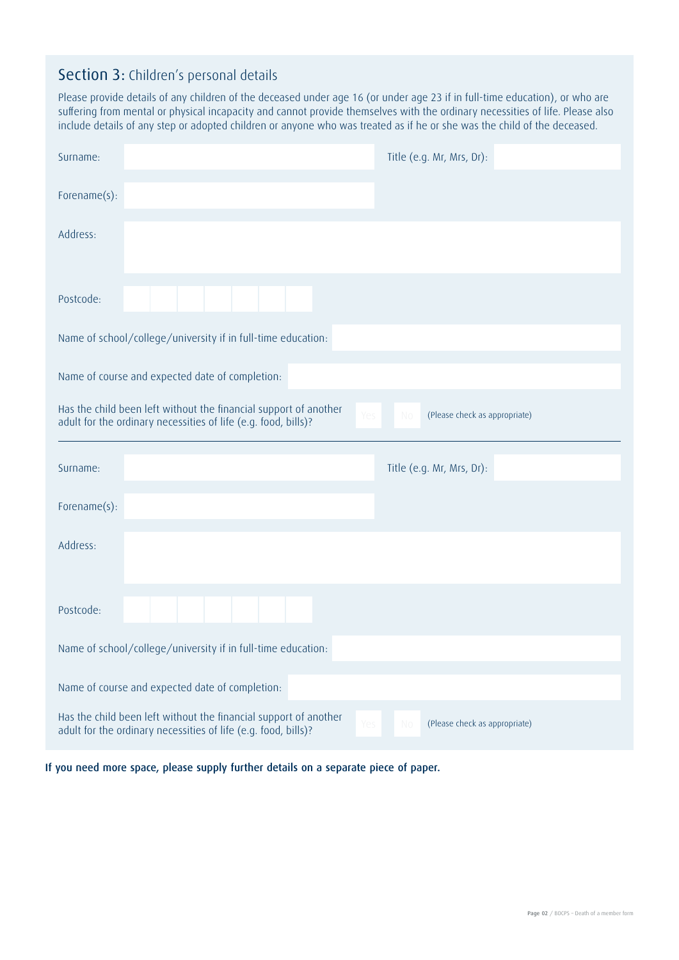#### Section 3: Children's personal details

Please provide details of any children of the deceased under age 16 (or under age 23 if in full-time education), or who are suffering from mental or physical incapacity and cannot provide themselves with the ordinary necessities of life. Please also include details of any step or adopted children or anyone who was treated as if he or she was the child of the deceased.

| Surname:     |                                                                                                                                           | Title (e.g. Mr, Mrs, Dr):           |
|--------------|-------------------------------------------------------------------------------------------------------------------------------------------|-------------------------------------|
| Forename(s): |                                                                                                                                           |                                     |
| Address:     |                                                                                                                                           |                                     |
| Postcode:    |                                                                                                                                           |                                     |
|              | Name of school/college/university if in full-time education:                                                                              |                                     |
|              | Name of course and expected date of completion:                                                                                           |                                     |
|              | Has the child been left without the financial support of another<br>Yes<br>adult for the ordinary necessities of life (e.g. food, bills)? | No<br>(Please check as appropriate) |
|              |                                                                                                                                           |                                     |
| Surname:     |                                                                                                                                           | Title (e.g. Mr, Mrs, Dr):           |
| Forename(s): |                                                                                                                                           |                                     |
| Address:     |                                                                                                                                           |                                     |
| Postcode:    |                                                                                                                                           |                                     |
|              | Name of school/college/university if in full-time education:                                                                              |                                     |
|              | Name of course and expected date of completion:                                                                                           |                                     |

If you need more space, please supply further details on a separate piece of paper.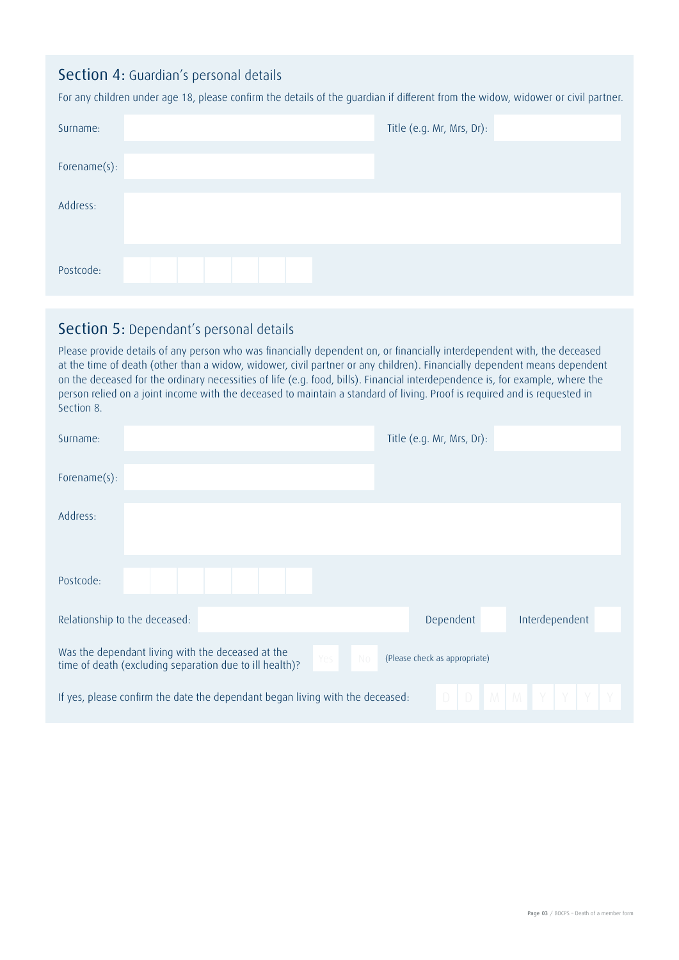#### Section 4: Guardian's personal details

For any children under age 18, please confirm the details of the guardian if different from the widow, widower or civil partner.

| Surname:     |  |  |  |  | Title (e.g. Mr, Mrs, Dr): |  |
|--------------|--|--|--|--|---------------------------|--|
| Forename(s): |  |  |  |  |                           |  |
| Address:     |  |  |  |  |                           |  |
| Postcode:    |  |  |  |  |                           |  |

#### Section 5: Dependant's personal details

Please provide details of any person who was financially dependent on, or financially interdependent with, the deceased at the time of death (other than a widow, widower, civil partner or any children). Financially dependent means dependent on the deceased for the ordinary necessities of life (e.g. food, bills). Financial interdependence is, for example, where the person relied on a joint income with the deceased to maintain a standard of living. Proof is required and is requested in Section 8.

| Surname:                                                                                                     |  |     |     | Title (e.g. Mr, Mrs, Dr):                        |                     |  |
|--------------------------------------------------------------------------------------------------------------|--|-----|-----|--------------------------------------------------|---------------------|--|
| Forename $(s)$ :                                                                                             |  |     |     |                                                  |                     |  |
| Address:                                                                                                     |  |     |     |                                                  |                     |  |
| Postcode:                                                                                                    |  |     |     |                                                  |                     |  |
| Relationship to the deceased:                                                                                |  |     |     | Dependent                                        | Interdependent      |  |
| Was the dependant living with the deceased at the<br>time of death (excluding separation due to ill health)? |  | Yes | No. | (Please check as appropriate)                    |                     |  |
| If yes, please confirm the date the dependant began living with the deceased:                                |  |     |     | $\Box$<br>$\begin{array}{c} \square \end{array}$ | $M$ $M$ $Y$ $Y$ $Y$ |  |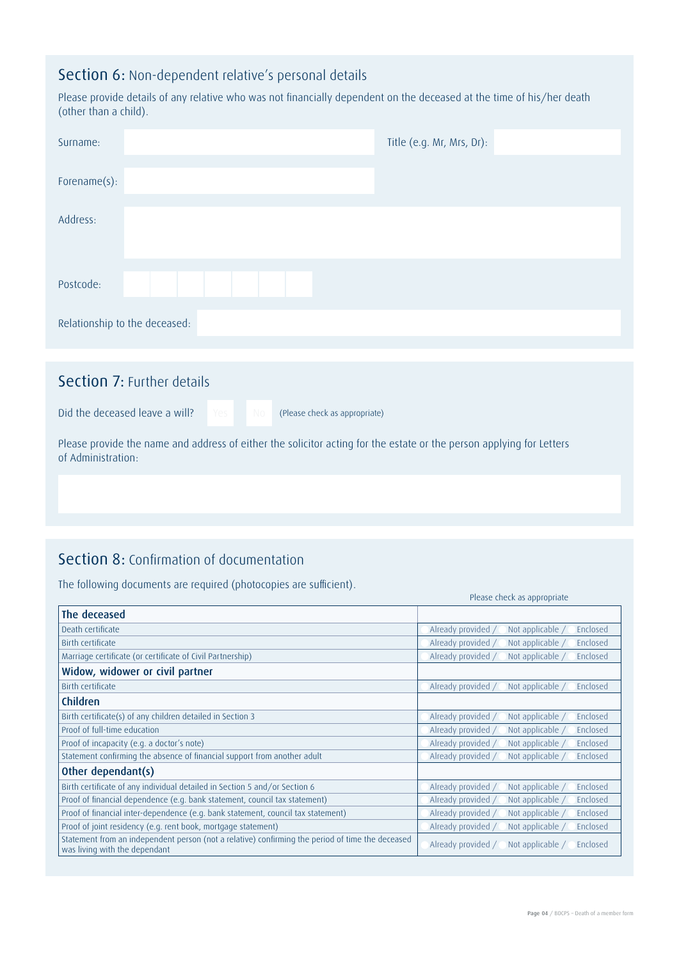### Section 6: Non-dependent relative's personal details

Please provide details of any relative who was not financially dependent on the deceased at the time of his/her death (other than a child).

| Surname:                          |  |  | Title (e.g. Mr, Mrs, Dr): |  |
|-----------------------------------|--|--|---------------------------|--|
| Forename(s):                      |  |  |                           |  |
| Address:                          |  |  |                           |  |
|                                   |  |  |                           |  |
|                                   |  |  |                           |  |
| Postcode:                         |  |  |                           |  |
| Relationship to the deceased:     |  |  |                           |  |
|                                   |  |  |                           |  |
| <b>Section 7: Further details</b> |  |  |                           |  |

Did the deceased leave a will? Yes No (Please check as appropriate)

Please provide the name and address of either the solicitor acting for the estate or the person applying for Letters of Administration:

## Section 8: Confirmation of documentation

The following documents are required (photocopies are sufficient).

|                                                                                                                                   | Please check as appropriate                        |
|-----------------------------------------------------------------------------------------------------------------------------------|----------------------------------------------------|
| The deceased                                                                                                                      |                                                    |
| Death certificate                                                                                                                 | Already provided<br>Not applicable /<br>Enclosed   |
| Birth certificate                                                                                                                 | Already provided /<br>Enclosed<br>Not applicable / |
| Marriage certificate (or certificate of Civil Partnership)                                                                        | Already provided<br>Enclosed<br>Not applicable /   |
| Widow, widower or civil partner                                                                                                   |                                                    |
| <b>Birth certificate</b>                                                                                                          | Already provided /<br>Not applicable /<br>Enclosed |
| Children                                                                                                                          |                                                    |
| Birth certificate(s) of any children detailed in Section 3                                                                        | Already provided<br>Not applicable /<br>Enclosed   |
| Proof of full-time education                                                                                                      | Already provided /<br>Not applicable /<br>Enclosed |
| Proof of incapacity (e.g. a doctor's note)                                                                                        | Already provided<br>Not applicable /<br>Enclosed   |
| Statement confirming the absence of financial support from another adult                                                          | Already provided<br>Not applicable /<br>Enclosed   |
| Other dependant(s)                                                                                                                |                                                    |
| Birth certificate of any individual detailed in Section 5 and/or Section 6                                                        | Not applicable /<br>Already provided<br>Enclosed   |
| Proof of financial dependence (e.g. bank statement, council tax statement)                                                        | Already provided /<br>Not applicable /<br>Enclosed |
| Proof of financial inter-dependence (e.g. bank statement, council tax statement)                                                  | Enclosed<br>Already provided /<br>Not applicable / |
| Proof of joint residency (e.g. rent book, mortgage statement)                                                                     | Already provided<br>Not applicable /<br>Enclosed   |
| Statement from an independent person (not a relative) confirming the period of time the deceased<br>was living with the dependant | Already provided /<br>Not applicable /<br>Enclosed |